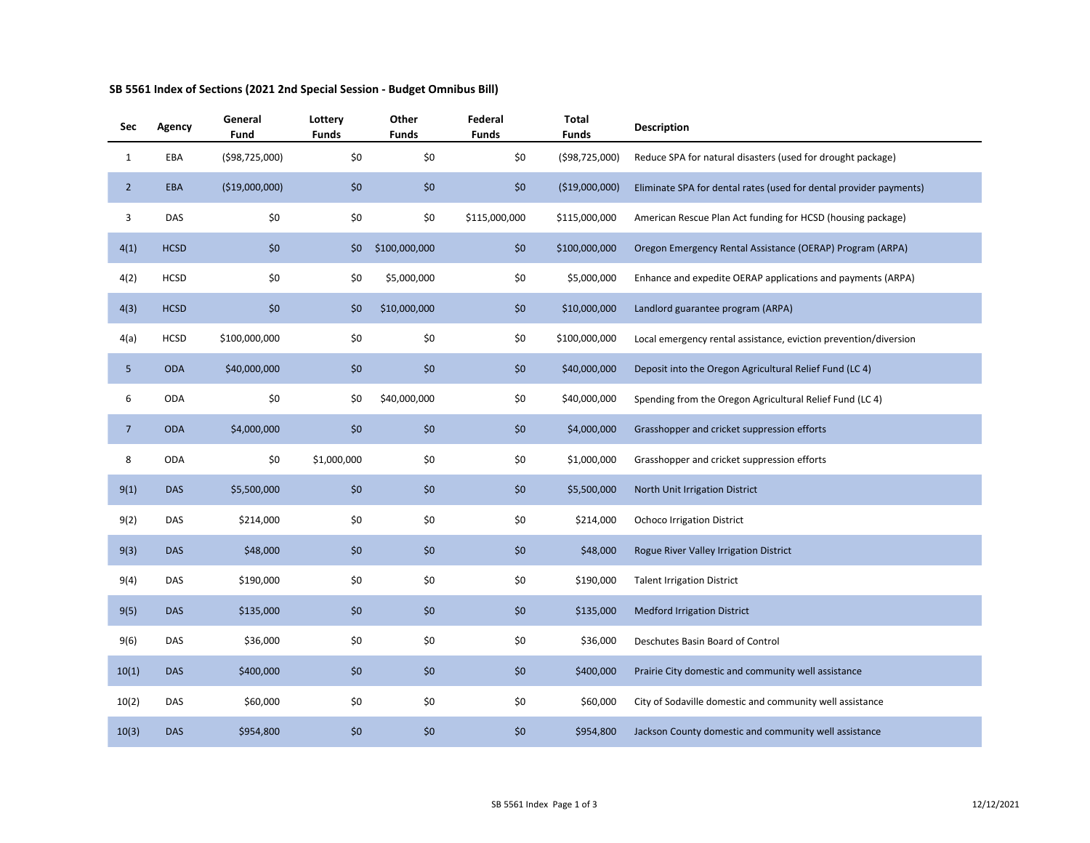| Sec             | Agency      | General<br>Fund | Lottery<br><b>Funds</b> | Other<br><b>Funds</b> | Federal<br><b>Funds</b> | Total<br><b>Funds</b> | <b>Description</b>                                                 |
|-----------------|-------------|-----------------|-------------------------|-----------------------|-------------------------|-----------------------|--------------------------------------------------------------------|
| $\mathbf{1}$    | EBA         | (\$98,725,000)  | \$0                     | \$0                   | \$0                     | (\$98,725,000)        | Reduce SPA for natural disasters (used for drought package)        |
| $\overline{2}$  | <b>EBA</b>  | ( \$19,000,000) | \$0                     | \$0                   | \$0                     | (\$19,000,000)        | Eliminate SPA for dental rates (used for dental provider payments) |
| 3               | DAS         | \$0             | \$0                     | \$0                   | \$115,000,000           | \$115,000,000         | American Rescue Plan Act funding for HCSD (housing package)        |
| 4(1)            | <b>HCSD</b> | \$0             | \$0                     | \$100,000,000         | \$0                     | \$100,000,000         | Oregon Emergency Rental Assistance (OERAP) Program (ARPA)          |
| 4(2)            | <b>HCSD</b> | \$0             | \$0                     | \$5,000,000           | \$0                     | \$5,000,000           | Enhance and expedite OERAP applications and payments (ARPA)        |
| 4(3)            | <b>HCSD</b> | \$0             | \$0                     | \$10,000,000          | \$0                     | \$10,000,000          | Landlord guarantee program (ARPA)                                  |
| 4(a)            | <b>HCSD</b> | \$100,000,000   | $$0$$                   | \$0                   | \$0                     | \$100,000,000         | Local emergency rental assistance, eviction prevention/diversion   |
| 5 <sub>5</sub>  | <b>ODA</b>  | \$40,000,000    | \$0                     | \$0                   | \$0                     | \$40,000,000          | Deposit into the Oregon Agricultural Relief Fund (LC 4)            |
| 6               | <b>ODA</b>  | \$0             | \$0                     | \$40,000,000          | \$0                     | \$40,000,000          | Spending from the Oregon Agricultural Relief Fund (LC 4)           |
| $7\overline{ }$ | <b>ODA</b>  | \$4,000,000     | \$0                     | \$0                   | \$0                     | \$4,000,000           | Grasshopper and cricket suppression efforts                        |
| 8               | ODA         | \$0             | \$1,000,000             | \$0                   | \$0                     | \$1,000,000           | Grasshopper and cricket suppression efforts                        |
| 9(1)            | <b>DAS</b>  | \$5,500,000     | \$0                     | \$0                   | \$0                     | \$5,500,000           | North Unit Irrigation District                                     |
| 9(2)            | DAS         | \$214,000       | \$0                     | \$0                   | \$0                     | \$214,000             | <b>Ochoco Irrigation District</b>                                  |
| 9(3)            | <b>DAS</b>  | \$48,000        | \$0                     | \$0                   | \$0                     | \$48,000              | Rogue River Valley Irrigation District                             |
| 9(4)            | DAS         | \$190,000       | \$0                     | \$0                   | \$0                     | \$190,000             | <b>Talent Irrigation District</b>                                  |
| 9(5)            | <b>DAS</b>  | \$135,000       | \$0                     | \$0                   | \$0                     | \$135,000             | <b>Medford Irrigation District</b>                                 |
| 9(6)            | DAS         | \$36,000        | \$0                     | \$0                   | \$0                     | \$36,000              | Deschutes Basin Board of Control                                   |
| 10(1)           | <b>DAS</b>  | \$400,000       | \$0                     | \$0                   | \$0                     | \$400,000             | Prairie City domestic and community well assistance                |
| 10(2)           | DAS         | \$60,000        | \$0                     | \$0                   | \$0                     | \$60,000              | City of Sodaville domestic and community well assistance           |
| 10(3)           | <b>DAS</b>  | \$954,800       | \$0                     | \$0                   | \$0                     | \$954,800             | Jackson County domestic and community well assistance              |

## **SB 5561 Index of Sections (2021 2nd Special Session - Budget Omnibus Bill)**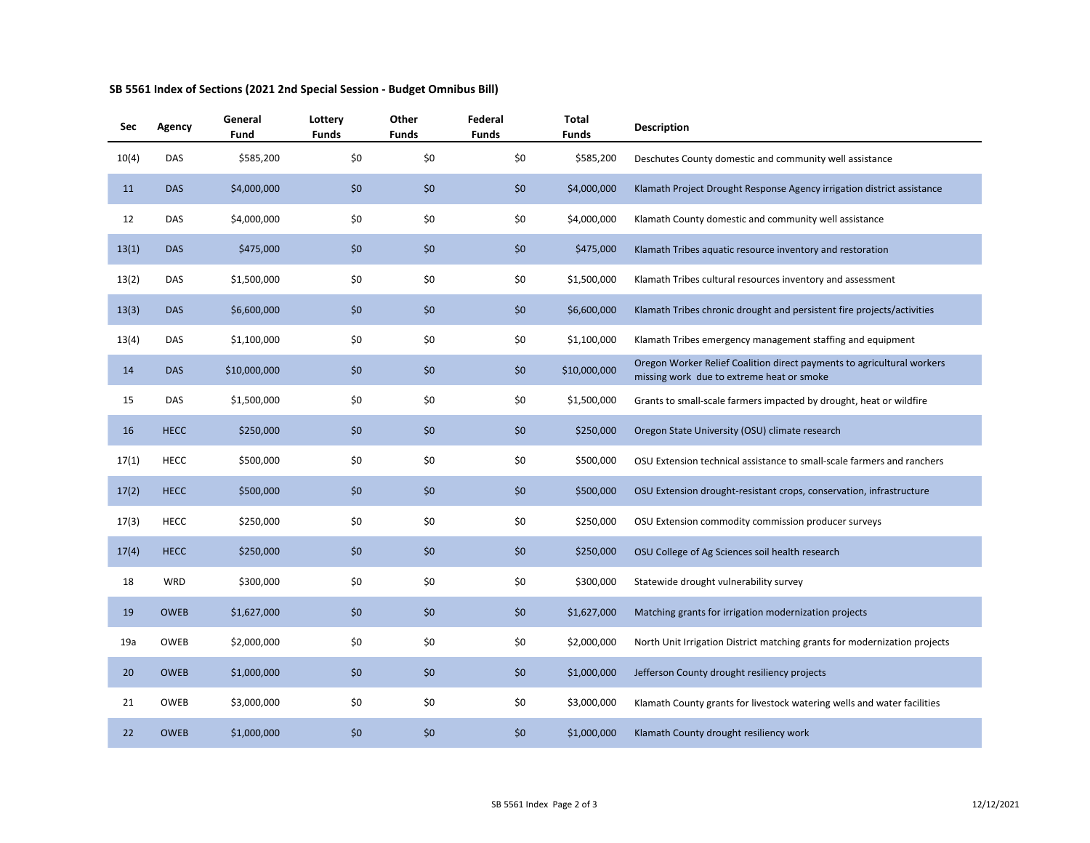| Sec   | Agency      | General<br>Fund | Lottery<br><b>Funds</b> | Other<br>Funds | Federal<br><b>Funds</b> | <b>Total</b><br><b>Funds</b> | <b>Description</b>                                                                                                  |
|-------|-------------|-----------------|-------------------------|----------------|-------------------------|------------------------------|---------------------------------------------------------------------------------------------------------------------|
| 10(4) | DAS         | \$585,200       | \$0                     | \$0            | \$0                     | \$585,200                    | Deschutes County domestic and community well assistance                                                             |
| 11    | <b>DAS</b>  | \$4,000,000     | \$0                     | \$0            | \$0                     | \$4,000,000                  | Klamath Project Drought Response Agency irrigation district assistance                                              |
| 12    | DAS         | \$4,000,000     | \$0                     | \$0            | \$0                     | \$4,000,000                  | Klamath County domestic and community well assistance                                                               |
| 13(1) | <b>DAS</b>  | \$475,000       | \$0                     | \$0            | \$0                     | \$475,000                    | Klamath Tribes aquatic resource inventory and restoration                                                           |
| 13(2) | <b>DAS</b>  | \$1,500,000     | \$0                     | \$0            | \$0                     | \$1,500,000                  | Klamath Tribes cultural resources inventory and assessment                                                          |
| 13(3) | <b>DAS</b>  | \$6,600,000     | \$0                     | \$0            | \$0                     | \$6,600,000                  | Klamath Tribes chronic drought and persistent fire projects/activities                                              |
| 13(4) | DAS         | \$1,100,000     | \$0                     | \$0            | \$0                     | \$1,100,000                  | Klamath Tribes emergency management staffing and equipment                                                          |
| 14    | <b>DAS</b>  | \$10,000,000    | \$0                     | \$0            | \$0                     | \$10,000,000                 | Oregon Worker Relief Coalition direct payments to agricultural workers<br>missing work due to extreme heat or smoke |
| 15    | DAS         | \$1,500,000     | \$0                     | \$0            | \$0                     | \$1,500,000                  | Grants to small-scale farmers impacted by drought, heat or wildfire                                                 |
| 16    | <b>HECC</b> | \$250,000       | \$0                     | \$0            | \$0                     | \$250,000                    | Oregon State University (OSU) climate research                                                                      |
| 17(1) | HECC        | \$500,000       | \$0                     | \$0            | \$0                     | \$500,000                    | OSU Extension technical assistance to small-scale farmers and ranchers                                              |
| 17(2) | <b>HECC</b> | \$500,000       | \$0                     | \$0            | \$0                     | \$500,000                    | OSU Extension drought-resistant crops, conservation, infrastructure                                                 |
| 17(3) | <b>HECC</b> | \$250,000       | \$0                     | \$0            | \$0                     | \$250,000                    | OSU Extension commodity commission producer surveys                                                                 |
| 17(4) | <b>HECC</b> | \$250,000       | \$0                     | \$0            | \$0                     | \$250,000                    | OSU College of Ag Sciences soil health research                                                                     |
| 18    | WRD         | \$300,000       | \$0                     | \$0            | \$0                     | \$300,000                    | Statewide drought vulnerability survey                                                                              |
| 19    | <b>OWEB</b> | \$1,627,000     | \$0                     | \$0            | \$0                     | \$1,627,000                  | Matching grants for irrigation modernization projects                                                               |
| 19a   | <b>OWEB</b> | \$2,000,000     | \$0                     | \$0            | \$0                     | \$2,000,000                  | North Unit Irrigation District matching grants for modernization projects                                           |
| 20    | <b>OWEB</b> | \$1,000,000     | \$0                     | \$0            | \$0                     | \$1,000,000                  | Jefferson County drought resiliency projects                                                                        |
| 21    | OWEB        | \$3,000,000     | \$0                     | \$0            | \$0                     | \$3,000,000                  | Klamath County grants for livestock watering wells and water facilities                                             |
| 22    | <b>OWEB</b> | \$1,000,000     | \$0                     | \$0            | \$0                     | \$1,000,000                  | Klamath County drought resiliency work                                                                              |

## **SB 5561 Index of Sections (2021 2nd Special Session - Budget Omnibus Bill)**